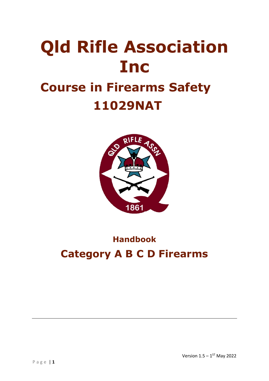# **Qld Rifle Association Inc Course in Firearms Safety 11029NAT**



# **Handbook Category A B C D Firearms**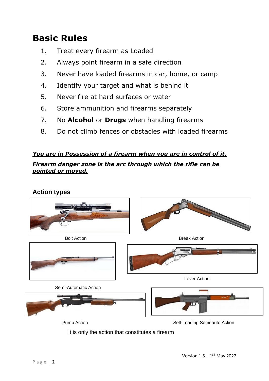# **Basic Rules**

- 1. Treat every firearm as Loaded
- 2. Always point firearm in a safe direction
- 3. Never have loaded firearms in car, home, or camp
- 4. Identify your target and what is behind it
- 5. Never fire at hard surfaces or water
- 6. Store ammunition and firearms separately
- 7. No **Alcohol** or **Drugs** when handling firearms
- 8. Do not climb fences or obstacles with loaded firearms

#### *You are in Possession of a firearm when you are in control of it.*

*Firearm danger zone is the arc through which the rifle can be pointed or moved.*

**Action types**



It is only the action that constitutes a firearm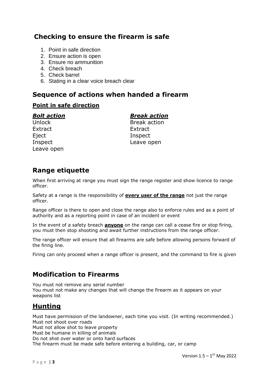#### **Checking to ensure the firearm is safe**

- 1. Point in safe direction
- 2. Ensure action is open
- 3. Ensure no ammunition
- 4. Check breach
- 5. Check barrel
- 6. Stating in a clear voice breach clear

#### **Sequence of actions when handed a firearm**

#### **Point in safe direction**

Extract Extract Eject Inspect Leave open

#### *Bolt action Break action*

Unlock Break action Inspect Leave open

#### **Range etiquette**

When first arriving at range you must sign the range register and show licence to range officer.

Safety at a range is the responsibility of **every user of the range** not just the range officer.

Range officer is there to open and close the range also to enforce rules and as a point of authority and as a reporting point in case of an incident or event

In the event of a safety breach **anyone** on the range can call a cease fire or stop firing, you must then stop shooting and await further instructions from the range officer.

The range officer will ensure that all firearms are safe before allowing persons forward of the firing line.

Firing can only proceed when a range officer is present, and the command to fire is given

#### **Modification to Firearms**

You must not remove any serial number You must not make any changes that will change the firearm as it appears on your weapons list

### **Hunting**

Must have permission of the landowner, each time you visit. (In writing recommended.) Must not shoot over roads

Must not allow shot to leave property

Must be humane in killing of animals

Do not shot over water or onto hard surfaces

The firearm must be made safe before entering a building, car, or camp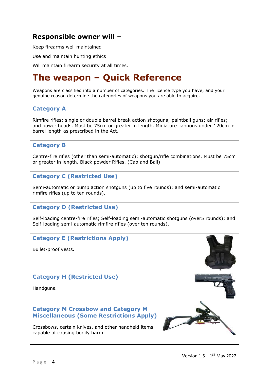#### **Responsible owner will –**

Keep firearms well maintained

Use and maintain hunting ethics

Will maintain firearm security at all times.

# **The weapon – Quick Reference**

Weapons are classified into a number of categories. The licence type you have, and your genuine reason determine the categories of weapons you are able to acquire.

#### **Category A**

Rimfire rifles; single or double barrel break action shotguns; paintball guns; air rifles; and power heads. Must be 75cm or greater in length. Miniature cannons under 120cm in barrel length as prescribed in the Act.

#### **Category B**

Centre-fire rifles (other than semi-automatic); shotgun/rifle combinations. Must be 75cm or greater in length. Black powder Rifles. (Cap and Ball)

#### **Category C (Restricted Use)**

Semi-automatic or pump action shotguns (up to five rounds); and semi-automatic rimfire rifles (up to ten rounds).

#### **Category D (Restricted Use)**

Self-loading centre-fire rifles; Self-loading semi-automatic shotguns (over5 rounds); and Self-loading semi-automatic rimfire rifles (over ten rounds).

#### **Category E (Restrictions Apply)**

Bullet-proof vests.

#### **Category H (Restricted Use)**

Handguns.

#### **Category M Crossbow and Category M Miscellaneous (Some Restrictions Apply)**

Crossbows, certain knives, and other handheld items capable of causing bodily harm.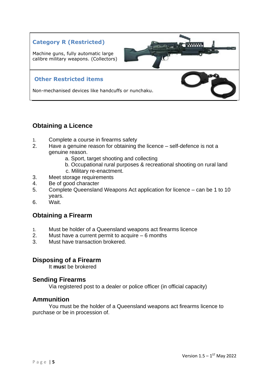#### **Category R (Restricted)**

Machine guns, fully automatic large calibre military weapons. (Collectors)

#### **Other Restricted items**

Non-mechanised devices like handcuffs or nunchaku.

#### **Obtaining a Licence**

- 1. Complete a course in firearms safety
- 2. Have a genuine reason for obtaining the licence self-defence is not a genuine reason.
	- a. Sport, target shooting and collecting
	- b. Occupational rural purposes & recreational shooting on rural land
	- c. Military re-enactment.
- 3. Meet storage requirements
- 4. Be of good character
- 5. Complete Queensland Weapons Act application for licence can be 1 to 10 years.
- 6. Wait.

#### **Obtaining a Firearm**

- 1. Must be holder of a Queensland weapons act firearms licence
- 2. Must have a current permit to acquire 6 months
- 3. Must have transaction brokered.

#### **Disposing of a Firearm**

It **mus**t be brokered

#### **Sending Firearms**

Via registered post to a dealer or police officer (in official capacity)

#### **Ammunition**

You must be the holder of a Queensland weapons act firearms licence to purchase or be in procession of.

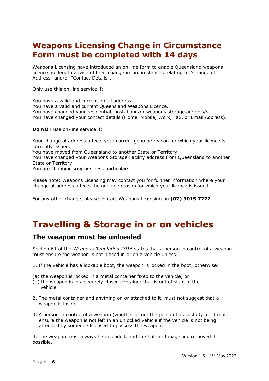### **Weapons Licensing Change in Circumstance Form must be completed with 14 days**

Weapons Licensing have introduced an on-line form to enable Queensland weapons licence holders to advise of their change in circumstances relating to "Change of Address" and/or "Contact Details".

Only use this on-line service if:

• You have a valid and current email address. • You have a valid and current Queensland Weapons Licence. • You have changed your residential, postal and/or weapons storage address/s. • You have changed your contact details (Home, Mobile, Work, Fax, or Email Address).

**Do NOT** use on-line service if:

• Your change of address affects your current genuine reason for which your licence is currently issued.

• You have moved from Queensland to another State or Territory.

• You have changed your Weapons Storage Facility address from Queensland to another State or Territory.

• You are changing **any** business particulars.

Please note: Weapons Licensing may contact you for further information where your change of address affects the genuine reason for which your licence is issued.

For any other change, please contact Weapons Licensing on **(07) 3015 7777**.

# **Travelling & Storage in or on vehicles**

#### **The weapon must be unloaded**

Section 61 of the *Weapons Regulation 2016* states that a person in control of a weapon must ensure the weapon is not placed in or on a vehicle unless:

- 1. If the vehicle has a lockable boot, the weapon is locked in the boot; otherwise:
- (a) the weapon is locked in a metal container fixed to the vehicle; or
- (b) the weapon is in a securely closed container that is out of sight in the vehicle.
- 2. The metal container and anything on or attached to it, must not suggest that a weapon is inside.
- 3. A person in control of a weapon (whether or not the person has custody of it) must ensure the weapon is not left in an unlocked vehicle if the vehicle is not being attended by someone licensed to possess the weapon.

4. The weapon must always be unloaded, and the bolt and magazine removed if possible.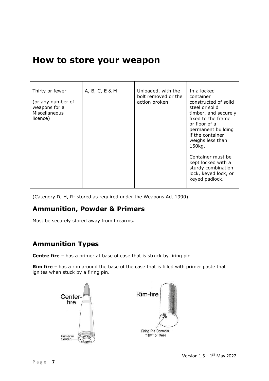## **How to store your weapon**

| Thirty or fewer<br>(or any number of<br>weapons for a<br>Miscellaneous<br>licence) | A, B, C, E & M | Unloaded, with the<br>bolt removed or the<br>action broken | In a locked<br>container<br>constructed of solid<br>steel or solid<br>timber, and securely<br>fixed to the frame<br>or floor of a<br>permanent building<br>if the container<br>weighs less than<br>150kg.<br>Container must be<br>kept locked with a<br>sturdy combination<br>lock, keyed lock, or<br>keyed padlock. |
|------------------------------------------------------------------------------------|----------------|------------------------------------------------------------|----------------------------------------------------------------------------------------------------------------------------------------------------------------------------------------------------------------------------------------------------------------------------------------------------------------------|
|                                                                                    |                |                                                            |                                                                                                                                                                                                                                                                                                                      |

(Category D, H, R- stored as required under the Weapons Act 1990)

#### **Ammunition, Powder & Primers**

Must be securely stored away from firearms.

#### **Ammunition Types**

**Centre fire** – has a primer at base of case that is struck by firing pin

**Rim fire** – has a rim around the base of the case that is filled with primer paste that ignites when stuck by a firing pin.

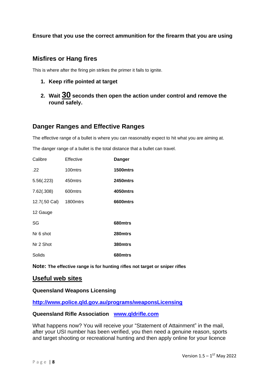#### **Ensure that you use the correct ammunition for the firearm that you are using**

#### **Misfires or Hang fires**

This is where after the firing pin strikes the primer it fails to ignite.

- **1. Keep rifle pointed at target**
- **2. Wait 30 seconds then open the action under control and remove the round safely.**

#### **Danger Ranges and Effective Ranges**

The effective range of a bullet is where you can reasonably expect to hit what you are aiming at.

The danger range of a bullet is the total distance that a bullet can travel.

| Calibre       | Effective            | <b>Danger</b>   |
|---------------|----------------------|-----------------|
| .22           | 100mtrs              | <b>1500mtrs</b> |
| 5.56(.223)    | 450mtrs              | <b>2450mtrs</b> |
| 7.62(.308)    | 600mtrs              | 4050mtrs        |
| 12.7(.50 Cal) | 1800 <sub>mtrs</sub> | 6600mtrs        |
| 12 Gauge      |                      |                 |
| SG            |                      | 680mtrs         |
| Nr 6 shot     |                      | 280mtrs         |
| Nr 2 Shot     |                      | 380mtrs         |
| Solids        |                      | 680mtrs         |

**Note: The effective range is for hunting rifles not target or sniper rifles**

#### **Useful web sites**

#### **Queensland Weapons Licensing**

**<http://www.police.qld.gov.au/programs/weaponsLicensing>**

#### **Queensland Rifle Association [www.qldrifle.com](http://www.qldrifle.com/)**

What happens now? You will receive your "Statement of Attainment" in the mail, after your USI number has been verified, you then need a genuine reason, sports and target shooting or recreational hunting and then apply online for your licence